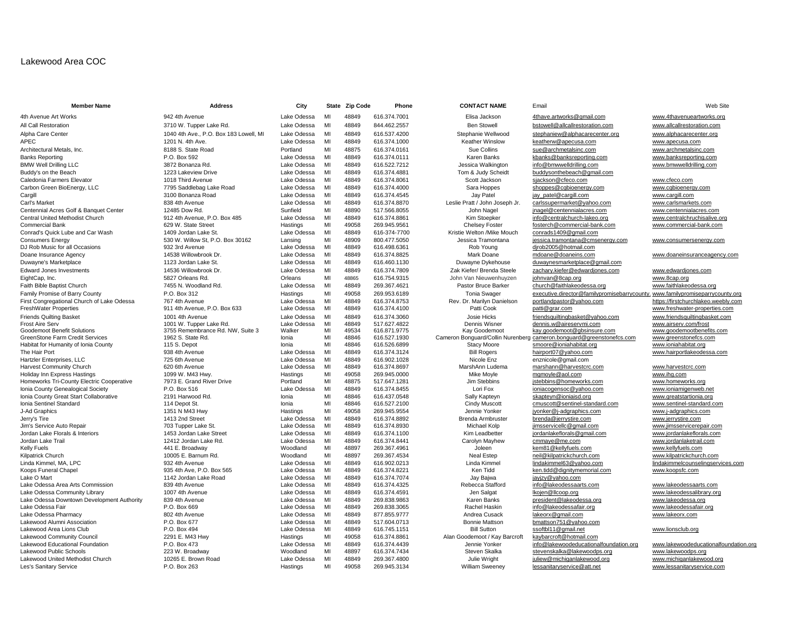# Lakewood Area COC

| <b>Member Name</b>                                                        | <b>Address</b>                                | City                 |          | State Zip Code | Phone                        | <b>CONTACT NAME</b>            | Email                                                                         | Web Site                                   |
|---------------------------------------------------------------------------|-----------------------------------------------|----------------------|----------|----------------|------------------------------|--------------------------------|-------------------------------------------------------------------------------|--------------------------------------------|
| 4th Avenue Art Works                                                      | 942 4th Avenue                                | Lake Odessa          | MI       | 48849          | 616.374.7001                 | Elisa Jackson                  | 4thave.artworks@gmail.com                                                     | www.4thavenueartworks.org                  |
| All Call Restoration                                                      | 3710 W. Tupper Lake Rd.                       | Lake Odessa          | MI       | 48849          | 844.462.2557                 | <b>Ben Stowell</b>             | bstowell@allcallrestoration.com                                               | www.allcallrestoration.com                 |
| Alpha Care Center                                                         | 1040 4th Ave., P.O. Box 183 Lowell, MI        | Lake Odessa          | MI       | 48849          | 616.537.4200                 | Stephanie Wellwood             | stephaniew@alphacarecenter.org                                                | www.alphacarecenter.org                    |
| APEC                                                                      | 1201 N. 4th Ave.                              | Lake Odessa          | MI       | 48849          | 616.374.1000                 | <b>Keather Winslow</b>         | keatherw@apecusa.com                                                          | www.apecusa.com                            |
| Architectural Metals, Inc.                                                | 8188 S. State Road                            | Portland             | MI       | 48875          | 616.374.0161                 | Sue Collins                    | sue@archmetalsinc.com                                                         | www.archmetalsinc.com                      |
| Banks Reporting                                                           | P.O. Box 592                                  | Lake Odessa          | MI       | 48849          | 616.374.0111                 | Karen Banks                    | kbanks@banksreporting.com                                                     | www.banksreporting.com                     |
| <b>BMW Well Drilling LLC</b>                                              | 3872 Bonanza Rd.                              | Lake Odessa          | MI       | 48849          | 616.522.7212                 | Jessica Walkington             | info@bmwwelldrilling.com                                                      | www.bmwwelldrilling.com                    |
| Buddy's on the Beach                                                      | 1223 Lakeview Drive                           | Lake Odessa          | MI       | 48849          | 616.374.4881                 | Tom & Judy Scheidt             | buddysonthebeach@gmail.com                                                    |                                            |
| Caledonia Farmers Elevator                                                | 1018 Third Avenue                             | Lake Odessa          | MI       | 48849          | 616.374.8061                 | Scott Jackson                  | sjackson@cfeco.com                                                            | www.cfeco.com                              |
| Carbon Green BioEnergy, LLC                                               | 7795 Saddlebag Lake Road                      | Lake Odessa          | MI       | 48849          | 616.374.4000                 | Sara Hoppes                    | shoppes@cgbioenergy.com                                                       | www.cgbioenergy.com                        |
| Cargill                                                                   | 3100 Bonanza Road                             | Lake Odessa          | MI       | 48849          | 616.374.4545                 | Jay Patel                      | jay_patel@cargill.com                                                         | www.cargill.com                            |
| Carl's Market                                                             | 838 4th Avenue                                | Lake Odessa          | MI       | 48849          | 616.374.8870                 | Leslie Pratt / John Joseph Jr. | carlssupermarket@yahoo.com                                                    | www.carlsmarkets.com                       |
| Centennial Acres Golf & Banquet Center                                    | 12485 Dow Rd.                                 | Sunfield             | MI       | 48890          | 517.566.8055                 | John Nagel                     | jnagel@centennialacres.com                                                    | www.centennialacres.com                    |
| Central United Methodist Church                                           | 912 4th Avenue, P.O. Box 485                  | Lake Odessa          | MI       | 48849          | 616.374.8861                 | Kim Stoepker                   | info@centralchurch-lakeo.org                                                  | www.centralchruchisalive.org               |
| Commercial Bank                                                           | 629 W. State Street                           | Hastings             | MI       | 49058          | 269.945.9561                 | <b>Chelsey Foster</b>          | fosterch@commercial-bank.com                                                  | www.commercial-bank.com                    |
| Conrad's Quick Lube and Car Wash                                          | 1409 Jordan Lake St.                          | Lake Odessa          | MI       | 48849          | 616-374-7700                 | Kristie Welton /Mike Mouch     | conrads1409@gmail.com                                                         |                                            |
| Consumers Energy                                                          | 530 W. Willow St, P.O. Box 30162              | Lansing              | MI       | 48909          | 800.477.5050                 | Jessica Tramontana             | jessica.tramontana@cmsenergy.com                                              | www.consumersenergy.com                    |
| DJ Rob Music for all Occasions                                            | 932 3rd Avenue                                | Lake Odessa          | MI       | 48849          | 616.498.6361                 | Rob Young                      | djrob2005@hotmail.com                                                         |                                            |
| Doane Insurance Agency                                                    | 14538 Willowbrook Dr.                         | Lake Odessa          | MI       | 48849          | 616.374.8825                 | Mark Doane                     | mdoane@doaneins.com                                                           | www.doaneinsuranceagency.com               |
| Duwayne's Marketplace                                                     | 1123 Jordan Lake St.                          | Lake Odessa          | MI       | 48849          | 616.460.1130                 | Duwayne Dykehouse              | duwaynesmarketplace@gmail.com                                                 |                                            |
| <b>Edward Jones Investments</b>                                           | 14536 Willowbrook Dr.                         | Lake Odessa          | MI       | 48849          | 616.374.7809                 | Zak Kiefer/ Brenda Steele      | zachary.kiefer@edwardjones.com                                                | www.edwardjones.com                        |
| EightCap, Inc.                                                            | 5827 Orleans Rd.                              | Orleans              | MI       | 48865          | 616.754.9315                 | John Van Nieuwenhuyzen         | johnvan@8cap.org                                                              | www.8cap.org                               |
| Faith Bible Baptist Church                                                | 7455 N. Woodland Rd.                          | Lake Odessa          | MI       | 48849          | 269.367.4621                 | Pastor Bruce Barker            | church@faithlakeodessa.org                                                    | www.faithlakeodessa.org                    |
| Family Promise of Barry County                                            | P.O. Box 312                                  | Hastings             | MI       | 49058          | 269.953.6189                 | <b>Tonia Swager</b>            | executive.director@familypromisebarrycounty. www.familypromiseparrycounty.org |                                            |
| First Congregational Church of Lake Odessa                                | 767 4th Avenue                                | Lake Odessa          | MI       | 48849          | 616.374.8753                 | Rev. Dr. Marilyn Danielson     | portlandpastor@yahoo.com                                                      | https://firstchurchlakeo.weebly.com        |
| <b>FreshWater Properties</b>                                              | 911 4th Avenue, P.O. Box 633                  | Lake Odessa          | MI       | 48849          | 616.374.4100                 | Patti Cook                     | patti@grar.com                                                                | www.freshwater-properties.com              |
| <b>Friends Quilting Basket</b>                                            | 1001 4th Avenue                               | Lake Odessa          | MI       | 48849          | 616.374.3060                 | Josie Hicks                    | friendsquiltingbasket@yahoo.com                                               | www.friendsquiltingbasket.com              |
| Frost Aire Serv                                                           | 1001 W. Tupper Lake Rd.                       | Lake Odessa          | MI       | 48849          | 517.627.4822                 | Dennis Wisner                  | dennis.w@aireservmi.com                                                       | www.airserv.com/frost                      |
| Goodemoot Benefit Solutions                                               | 3755 Remembrance Rd. NW, Suite 3              | Walker               | MI       | 49534          | 616.871.9775                 | Kav Goodemoot                  | kay.goodemoot@gbsinsure.com                                                   | www.goodemootbenefits.com                  |
| GreenStone Farm Credit Services                                           | 1962 S. State Rd.                             | Ionia                | MI       | 48846          | 616.527.1930                 |                                | Cameron Bonguard/Collin Nurenberg cameron.bonguard@greenstonefcs.com          | www.greenstonefcs.com                      |
| Habitat for Humanity of Ionia County                                      | 115 S. Depot                                  | lonia                | MI       | 48846          | 616.526.6899                 | <b>Stacy Moore</b>             | smoore@ioniahabitat.org                                                       | www.ioniahabitat.org                       |
| The Hair Port                                                             | 938 4th Avenue                                | Lake Odessa          | MI       | 48849          | 616.374.3124                 | <b>Bill Rogers</b>             | hairport07@yahoo.com                                                          | www.hairportlakeodessa.com                 |
| Hartzler Enterprises, LLC                                                 | 725 6th Avenue                                | Lake Odessa          | MI       | 48849          | 616,902,1028                 | Nicole Enz                     | enznicole@gmail.com                                                           |                                            |
| <b>Harvest Community Church</b>                                           | 620 6th Avenue                                | Lake Odessa          | MI<br>MI | 48849          | 616.374.8697                 | MarshAnn Ludema                | marshann@harvestcrc.com                                                       | www.harvestcrc.com                         |
| Holiday Inn Express Hastings<br>Homeworks Tri-County Electric Cooperative | 1099 W. M43 Hwy.<br>7973 E. Grand River Drive | Hastings<br>Portland | MI       | 49058<br>48875 | 269.945.0000<br>517.647.1281 | Mike Moyle<br>Jim Stebbins     | mgmoyle@aol.com<br>jstebbins@homeworks.com                                    | www.ihg.com                                |
| Ionia County Genealogical Society                                         | P.O. Box 516                                  | Lake Odessa          | MI       | 48849          | 616.374.8455                 | Lori Fox                       | ioniacogensoc@yahoo.com                                                       | www.homeworks.org<br>www.ioniamigenweb.net |
| Ionia County Great Start Collaborative                                    | 2191 Harwood Rd.                              | Ionia                | MI       | 48846          | 616.437.0548                 | Sally Kapteyn                  | skapteyn@ioniaisd.org                                                         | www.greatstartionia.org                    |
| Ionia Sentinel Standard                                                   | 114 Depot St.                                 | Ionia                | MI       | 48846          | 616.527.2100                 | <b>Cindy Muscott</b>           | cmuscott@sentinel-standard.com                                                | www.sentinel-standard.com                  |
| J-Ad Graphics                                                             | 1351 N M43 Hwy                                | Hastings             | MI       | 49058          | 269.945.9554                 | Jennie Yonker                  | jyonker@j-adgraphics.com                                                      | www.j-adgraphics.com                       |
| Jerry's Tire                                                              | 1413 2nd Street                               | Lake Odessa          | MI       | 48849          | 616.374.8892                 | Brenda Armbruster              | brenda@jerrystire.com                                                         | www.jerrystire.com                         |
| Jim's Service Auto Repair                                                 | 703 Tupper Lake St.                           | Lake Odessa          | MI       | 48849          | 616.374.8930                 | Michael Kolp                   | jimsservicellc@gmail.com                                                      | www.jimsservicerepair.com                  |
| Jordan Lake Florals & Interiors                                           | 1453 Jordan Lake Street                       | Lake Odessa          | MI       | 48849          | 616.374.1100                 | Kim Leadbetter                 | jordanlakeflorals@gmail.com                                                   | www.jordanlakeflorals.com                  |
| Jordan Lake Trail                                                         | 12412 Jordan Lake Rd.                         | Lake Odessa          | MI       | 48849          | 616.374.8441                 | Carolyn Mayhew                 | cmmaye@me.com                                                                 | www.jordanlaketrail.com                    |
| Kelly Fuels                                                               | 441 E. Broadway                               | Woodland             | MI       | 48897          | 269.367.4961                 | Joleen                         | kem81@kellyfuels.com                                                          | www.kellyfuels.com                         |
| Kilpatrick Church                                                         | 10005 E. Barnum Rd.                           | Woodland             | MI       | 48897          | 269.367.4534                 | <b>Neal Estep</b>              | neil@kilpatrickchurch.com                                                     | www.kilpatrickchurch.com                   |
| Linda Kimmel, MA, LPC                                                     | 932 4th Avenue                                | Lake Odessa          | MI       | 48849          | 616.902.0213                 | Linda Kimmel                   | lindakimmel63@yahoo.com                                                       | lindakimmelcounselingservices.com          |
| Koops Funeral Chapel                                                      | 935 4th Ave. P.O. Box 565                     | Lake Odessa          | MI       | 48849          | 616.374.8221                 | Ken Tidd                       | ken.tidd@dignitymemorial.com                                                  | www.koopsfc.com                            |
| Lake O Mart                                                               | 1142 Jordan Lake Road                         | Lake Odessa          | MI       | 48849          | 616.374.7074                 | Jay Bajwa                      | jayjzy@yahoo.com                                                              |                                            |
| Lake Odessa Area Arts Commission                                          | 839 4th Avenue                                | Lake Odessa          | MI       | 48849          | 616.374.4325                 | Rebecca Stafford               | info@lakeodessaarts.com                                                       | www.lakeodessaarts.com                     |
| Lake Odessa Community Library                                             | 1007 4th Avenue                               | Lake Odessa          | MI       | 48849          | 616.374.4591                 | Jen Salgat                     | Ikojen@Ilcoop.org                                                             | www.lakeodessalibrary.org                  |
| Lake Odessa Downtown Development Authority                                | 839 4th Avenue                                | Lake Odessa          | MI       | 48849          | 269.838.9863                 | Karen Banks                    | president@lakeodessa.org                                                      | www.lakeodessa.org                         |
| Lake Odessa Fair                                                          | P.O. Box 669                                  | Lake Odessa          | MI       | 48849          | 269.838.3065                 | Rachel Haskin                  | info@lakeodessafair.org                                                       | www.lakeodessafair.org                     |
| Lake Odessa Pharmacy                                                      | 802 4th Avenue                                | Lake Odessa          | MI       | 48849          | 877.855.9777                 | Andrea Cusack                  | lakeorx@gmail.com                                                             | www.lakeorx.com                            |
| Lakewood Alumni Association                                               | P.O. Box 677                                  | Lake Odessa          | MI       | 48849          | 517.604.0713                 | <b>Bonnie Mattson</b>          | bmattson751@yahoo.com                                                         |                                            |
| Lakewood Area Lions Club                                                  | P.O. Box 494                                  | Lake Odessa          | MI       | 48849          | 616.745.1151                 | <b>Bill Sutton</b>             | ssoftbl11@gmail.net                                                           | www.lionsclub.org                          |
| Lakewood Community Council                                                | 2291 E. M43 Hwy                               | Hastings             | MI       | 49058          | 616.374.8861                 | Alan Goodemoot / Kay Barcroft  | kaybarcroft@hotmail.com                                                       |                                            |
| Lakewood Educational Foundation                                           | P.O. Box 473                                  | Lake Odessa          | MI       | 48849          | 616.374.4439                 | Jennie Yonker                  | info@lakewoodeducationalfoundation.org                                        | www.lakewoodeducationalfoundatio           |
| Lakewood Public Schools                                                   | 223 W. Broadway                               | Woodland             | MI       | 48897          | 616.374.7434                 | Steven Skalka                  | stevenskalka@lakewoodps.org                                                   | www.lakewoodps.org                         |
| Lakewood United Methodist Church                                          | 10265 E. Brown Road                           | Lake Odessa          | MI       | 48849          | 269.367.4800                 | Julie Wright                   | juliew@michiganlakewood.org                                                   | www.michiganlakewood.org                   |
| Les's Sanitary Service                                                    | P.O. Box 263                                  | Hastings             | MI       | 49058          | 269.945.3134                 | <b>William Sweeney</b>         | lessanitaryservice@att.net                                                    | www.lessanitaryservice.com                 |

# Cameron Bonguard/Collin Nurenberg [cameron.bonguard@greenstonefcs.com](mailto:cameron.bonguard@greenstonefcs.com) [www.greenstonefcs.com](http://www.greenstonefcs.com/)<br>Stacy Moore smoore@ioniahabitat.org www.ioniahabitat.org Bonnie Mattson bmattson 751@yahoo.com Lahewood Community Community Community Community Consenting Mann Goodemoot / Kay Barcroft kaybarcroft and Good<br>info@lakewoodeducational.com

# Ben Stowell **[bstowell@allcallrestoration.com](mailto:bstowell@allcallrestoration.com)** [www.allcallrestoration.com](http://www.allcallrestoration.com/) Karen Banks **Reporting P.O. Box 592 Lake Odes AI 4934** Karen Banks and Karen Banks and Karen Banks and Karen Banks and Karen Banks and Karen Banks and Karen Banks and Karen Banks and Karen Banks and Karen Banks and Karen B Tom & Judy Scheidt [buddysonthebeach@gmail.com](mailto:buddysonthebeach@gmail.com) Sara Hoppes **Shoppes@cgbioenergy.com** Www.cgbioenergy.com Leslie Pratt / John Joseph Jr. [carlssupermarket@yahoo.com](mailto:carlssupermarket@yahoo.com) [www.carlsmarkets.com](http://www.carlsmarkets.com/)<br>John Nagel inagel@centennialacres.com www.centennialacres.com Kim Stoepker [info@centralchurch-lakeo.org](mailto:info@centralchurch-lakeo.org) www.centralchruchisalive.org Chelsey Foster [fosterch@commercial-bank.com](mailto:fosterch@commercial-bank.com) WWW.commercial-bank.com<br>Kristie Welton /Mike Mouch conrads1409@gmail.com conrads 1409@gmail.com Jessica Tramontana [jessica.tramontana@cmsenergy.com](mailto:jessica.tramontana@cmsenergy.com) [www.consumersenergy.com](http://www.consumersenergy.com/)<br>Rob Young dirob2005@hotmail.com Mark Doane **Insurance 24538** Mark Doane **Insurance Odes Mark Doane** [mdoane@doaneins.com](mailto:mdoane@doaneins.com) [www.doaneinsuranceagency.com](http://www.doaneinsuranceagency.com/) Duwayne Dykehouse [duwaynesmarketplace@gmail.com](mailto:duwaynesmarketplace@gmail.com)<br>Zak Kiefer/ Brenda Steele zachary.kiefer@edwardiones.com [zachary.kiefer@edwardjones.com](mailto:zachary.kiefer@edwardjones.com) [www.edwardjones.com](http://www.edwardjones.com/) Josie Hicks Friends Quilting basket @yahoo.com [www.friendsquiltingbasket.com](http://www.friendsquiltingbasket.com/) Dennis.w@aireservmi.com www.airserv.com/frost **Cindy Muscott** Commuscott Commuscott Commuscott Commuscott Commuscott Commuscott Commuscott Communist Communist Communist Communist Communist Communist Communist Communist Communist Communist Communist Communist Communist Jennie Yonker in Maximus Hastings Minimus Mi 4905 269.955 [www.j-adgraphics.com](http://www.j-adgraphics.com/) Ken Tidd **by Function Aven.tidd@dignitymemorial.com** [www.koopsfc.com](http://www.koopsfc.com/) Lake Odessa Downtown Development Authority 239 4th Authority 839 4th Avenue Lake Odessa Authority 83<br>Rachel Haskin Banks president@lakeodessafair.org www.lakeodessafair.org Steven Skalka Stevenskalka@lakewoodps.org [www.lakewoodps.org](http://www.lakewoodps.org/) www.michiganlakewoodps.org www.michiganlakewood.org [juliew@michiganlakewood.org](mailto:juliew@michiganlakewood.org) [www.michiganlakewood.org](http://www.michiganlakewood.org/)

[info@lakewoodeducationalfoundation.org](mailto:info@lakewoodeducationalfoundation.org) [www.lakewoodeducationalfoundation.org](http://www.lakewoodeducationalfoundation.org/)